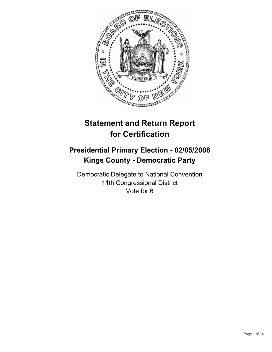

# **Statement and Return Report for Certification**

# **Presidential Primary Election - 02/05/2008 Kings County - Democratic Party**

Democratic Delegate to National Convention 11th Congressional District Vote for 6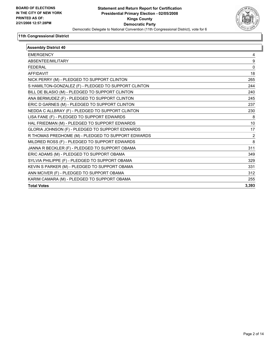

| <b>Assembly District 40</b>                          |       |
|------------------------------------------------------|-------|
| <b>EMERGENCY</b>                                     | 4     |
| ABSENTEE/MILITARY                                    | 9     |
| <b>FEDERAL</b>                                       | 0     |
| <b>AFFIDAVIT</b>                                     | 18    |
| NICK PERRY (M) - PLEDGED TO SUPPORT CLINTON          | 265   |
| S HAMILTON-GONZALEZ (F) - PLEDGED TO SUPPORT CLINTON | 244   |
| BILL DE BLASIO (M) - PLEDGED TO SUPPORT CLINTON      | 240   |
| ANA BERMUDEZ (F) - PLEDGED TO SUPPORT CLINTON        | 245   |
| ERIC D GARNES (M) - PLEDGED TO SUPPORT CLINTON       | 237   |
| NEDDA C ALLBRAY (F) - PLEDGED TO SUPPORT CLINTON     | 230   |
| LISA FANE (F) - PLEDGED TO SUPPORT EDWARDS           | 8     |
| HAL FRIEDMAN (M) - PLEDGED TO SUPPORT EDWARDS        | 10    |
| GLORIA JOHNSON (F) - PLEDGED TO SUPPORT EDWARDS      | 17    |
| R THOMAS PREDHOME (M) - PLEDGED TO SUPPORT EDWARDS   | 2     |
| MILDRED ROSS (F) - PLEDGED TO SUPPORT EDWARDS        | 8     |
| JANNA R BECKLER (F) - PLEDGED TO SUPPORT OBAMA       | 311   |
| ERIC ADAMS (M) - PLEDGED TO SUPPORT OBAMA            | 349   |
| SYLVIA PHILIPPE (F) - PLEDGED TO SUPPORT OBAMA       | 329   |
| KEVIN S PARKER (M) - PLEDGED TO SUPPORT OBAMA        | 331   |
| ANN MCIVER (F) - PLEDGED TO SUPPORT OBAMA            | 312   |
| KARIM CAMARA (M) - PLEDGED TO SUPPORT OBAMA          | 255   |
| <b>Total Votes</b>                                   | 3,393 |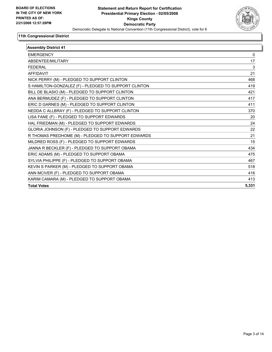

| <b>Assembly District 41</b>                          |       |
|------------------------------------------------------|-------|
| <b>EMERGENCY</b>                                     | 0     |
| ABSENTEE/MILITARY                                    | 17    |
| <b>FEDERAL</b>                                       | 3     |
| <b>AFFIDAVIT</b>                                     | 21    |
| NICK PERRY (M) - PLEDGED TO SUPPORT CLINTON          | 468   |
| S HAMILTON-GONZALEZ (F) - PLEDGED TO SUPPORT CLINTON | 419   |
| BILL DE BLASIO (M) - PLEDGED TO SUPPORT CLINTON      | 421   |
| ANA BERMUDEZ (F) - PLEDGED TO SUPPORT CLINTON        | 417   |
| ERIC D GARNES (M) - PLEDGED TO SUPPORT CLINTON       | 411   |
| NEDDA C ALLBRAY (F) - PLEDGED TO SUPPORT CLINTON     | 370   |
| LISA FANE (F) - PLEDGED TO SUPPORT EDWARDS           | 20    |
| HAL FRIEDMAN (M) - PLEDGED TO SUPPORT EDWARDS        | 24    |
| GLORIA JOHNSON (F) - PLEDGED TO SUPPORT EDWARDS      | 22    |
| R THOMAS PREDHOME (M) - PLEDGED TO SUPPORT EDWARDS   | 21    |
| MILDRED ROSS (F) - PLEDGED TO SUPPORT EDWARDS        | 15    |
| JANNA R BECKLER (F) - PLEDGED TO SUPPORT OBAMA       | 434   |
| ERIC ADAMS (M) - PLEDGED TO SUPPORT OBAMA            | 475   |
| SYLVIA PHILIPPE (F) - PLEDGED TO SUPPORT OBAMA       | 467   |
| KEVIN S PARKER (M) - PLEDGED TO SUPPORT OBAMA        | 518   |
| ANN MCIVER (F) - PLEDGED TO SUPPORT OBAMA            | 416   |
| KARIM CAMARA (M) - PLEDGED TO SUPPORT OBAMA          | 413   |
| <b>Total Votes</b>                                   | 5,331 |
|                                                      |       |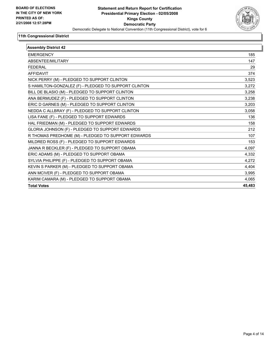

| <b>Assembly District 42</b>                          |        |
|------------------------------------------------------|--------|
| <b>EMERGENCY</b>                                     | 185    |
| ABSENTEE/MILITARY                                    | 147    |
| <b>FEDERAL</b>                                       | 29     |
| <b>AFFIDAVIT</b>                                     | 374    |
| NICK PERRY (M) - PLEDGED TO SUPPORT CLINTON          | 3,523  |
| S HAMILTON-GONZALEZ (F) - PLEDGED TO SUPPORT CLINTON | 3,272  |
| BILL DE BLASIO (M) - PLEDGED TO SUPPORT CLINTON      | 3,258  |
| ANA BERMUDEZ (F) - PLEDGED TO SUPPORT CLINTON        | 3,238  |
| ERIC D GARNES (M) - PLEDGED TO SUPPORT CLINTON       | 3,203  |
| NEDDA C ALLBRAY (F) - PLEDGED TO SUPPORT CLINTON     | 3,058  |
| LISA FANE (F) - PLEDGED TO SUPPORT EDWARDS           | 136    |
| HAL FRIEDMAN (M) - PLEDGED TO SUPPORT EDWARDS        | 158    |
| GLORIA JOHNSON (F) - PLEDGED TO SUPPORT EDWARDS      | 212    |
| R THOMAS PREDHOME (M) - PLEDGED TO SUPPORT EDWARDS   | 107    |
| MILDRED ROSS (F) - PLEDGED TO SUPPORT EDWARDS        | 153    |
| JANNA R BECKLER (F) - PLEDGED TO SUPPORT OBAMA       | 4,097  |
| ERIC ADAMS (M) - PLEDGED TO SUPPORT OBAMA            | 4,332  |
| SYLVIA PHILIPPE (F) - PLEDGED TO SUPPORT OBAMA       | 4,272  |
| KEVIN S PARKER (M) - PLEDGED TO SUPPORT OBAMA        | 4,404  |
| ANN MCIVER (F) - PLEDGED TO SUPPORT OBAMA            | 3,995  |
| KARIM CAMARA (M) - PLEDGED TO SUPPORT OBAMA          | 4,065  |
| <b>Total Votes</b>                                   | 45,483 |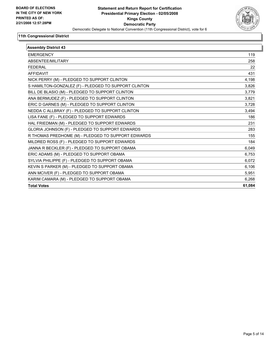

| <b>Assembly District 43</b>                          |        |
|------------------------------------------------------|--------|
| <b>EMERGENCY</b>                                     | 119    |
| ABSENTEE/MILITARY                                    | 258    |
| <b>FEDERAL</b>                                       | 22     |
| <b>AFFIDAVIT</b>                                     | 431    |
| NICK PERRY (M) - PLEDGED TO SUPPORT CLINTON          | 4,198  |
| S HAMILTON-GONZALEZ (F) - PLEDGED TO SUPPORT CLINTON | 3,826  |
| BILL DE BLASIO (M) - PLEDGED TO SUPPORT CLINTON      | 3,779  |
| ANA BERMUDEZ (F) - PLEDGED TO SUPPORT CLINTON        | 3,821  |
| ERIC D GARNES (M) - PLEDGED TO SUPPORT CLINTON       | 3,728  |
| NEDDA C ALLBRAY (F) - PLEDGED TO SUPPORT CLINTON     | 3,494  |
| LISA FANE (F) - PLEDGED TO SUPPORT EDWARDS           | 186    |
| HAL FRIEDMAN (M) - PLEDGED TO SUPPORT EDWARDS        | 231    |
| GLORIA JOHNSON (F) - PLEDGED TO SUPPORT EDWARDS      | 283    |
| R THOMAS PREDHOME (M) - PLEDGED TO SUPPORT EDWARDS   | 155    |
| MILDRED ROSS (F) - PLEDGED TO SUPPORT EDWARDS        | 184    |
| JANNA R BECKLER (F) - PLEDGED TO SUPPORT OBAMA       | 6,049  |
| ERIC ADAMS (M) - PLEDGED TO SUPPORT OBAMA            | 6,753  |
| SYLVIA PHILIPPE (F) - PLEDGED TO SUPPORT OBAMA       | 6,072  |
| KEVIN S PARKER (M) - PLEDGED TO SUPPORT OBAMA        | 6,106  |
| ANN MCIVER (F) - PLEDGED TO SUPPORT OBAMA            | 5,951  |
| KARIM CAMARA (M) - PLEDGED TO SUPPORT OBAMA          | 6,268  |
| <b>Total Votes</b>                                   | 61,084 |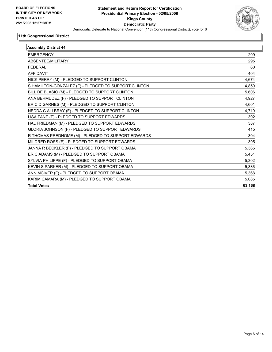

| <b>EMERGENCY</b>                                     | 209    |
|------------------------------------------------------|--------|
|                                                      |        |
| ABSENTEE/MILITARY                                    | 295    |
| <b>FEDERAL</b>                                       | 60     |
| <b>AFFIDAVIT</b>                                     | 404    |
| NICK PERRY (M) - PLEDGED TO SUPPORT CLINTON          | 4,674  |
| S HAMILTON-GONZALEZ (F) - PLEDGED TO SUPPORT CLINTON | 4,850  |
| BILL DE BLASIO (M) - PLEDGED TO SUPPORT CLINTON      | 5,606  |
| ANA BERMUDEZ (F) - PLEDGED TO SUPPORT CLINTON        | 4,927  |
| ERIC D GARNES (M) - PLEDGED TO SUPPORT CLINTON       | 4,601  |
| NEDDA C ALLBRAY (F) - PLEDGED TO SUPPORT CLINTON     | 4,710  |
| LISA FANE (F) - PLEDGED TO SUPPORT EDWARDS           | 392    |
| HAL FRIEDMAN (M) - PLEDGED TO SUPPORT EDWARDS        | 387    |
| GLORIA JOHNSON (F) - PLEDGED TO SUPPORT EDWARDS      | 415    |
| R THOMAS PREDHOME (M) - PLEDGED TO SUPPORT EDWARDS   | 304    |
| MILDRED ROSS (F) - PLEDGED TO SUPPORT EDWARDS        | 395    |
| JANNA R BECKLER (F) - PLEDGED TO SUPPORT OBAMA       | 5,365  |
| ERIC ADAMS (M) - PLEDGED TO SUPPORT OBAMA            | 5,451  |
| SYLVIA PHILIPPE (F) - PLEDGED TO SUPPORT OBAMA       | 5,302  |
| KEVIN S PARKER (M) - PLEDGED TO SUPPORT OBAMA        | 5,336  |
| ANN MCIVER (F) - PLEDGED TO SUPPORT OBAMA            | 5,368  |
| KARIM CAMARA (M) - PLEDGED TO SUPPORT OBAMA          | 5,085  |
| <b>Total Votes</b>                                   | 63,168 |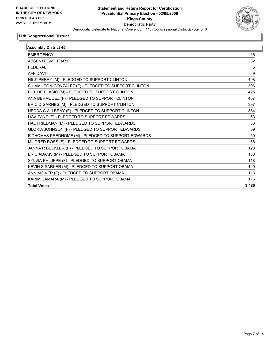

| <b>Assembly District 45</b>                          |       |
|------------------------------------------------------|-------|
| <b>EMERGENCY</b>                                     | 16    |
| ABSENTEE/MILITARY                                    | 32    |
| <b>FEDERAL</b>                                       | 5     |
| <b>AFFIDAVIT</b>                                     | 9     |
| NICK PERRY (M) - PLEDGED TO SUPPORT CLINTON          | 408   |
| S HAMILTON-GONZALEZ (F) - PLEDGED TO SUPPORT CLINTON | 396   |
| BILL DE BLASIO (M) - PLEDGED TO SUPPORT CLINTON      | 425   |
| ANA BERMUDEZ (F) - PLEDGED TO SUPPORT CLINTON        | 407   |
| ERIC D GARNES (M) - PLEDGED TO SUPPORT CLINTON       | 397   |
| NEDDA C ALLBRAY (F) - PLEDGED TO SUPPORT CLINTON     | 384   |
| LISA FANE (F) - PLEDGED TO SUPPORT EDWARDS           | 63    |
| HAL FRIEDMAN (M) - PLEDGED TO SUPPORT EDWARDS        | 86    |
| GLORIA JOHNSON (F) - PLEDGED TO SUPPORT EDWARDS      | 59    |
| R THOMAS PREDHOME (M) - PLEDGED TO SUPPORT EDWARDS   | 50    |
| MILDRED ROSS (F) - PLEDGED TO SUPPORT EDWARDS        | 68    |
| JANNA R BECKLER (F) - PLEDGED TO SUPPORT OBAMA       | 128   |
| ERIC ADAMS (M) - PLEDGED TO SUPPORT OBAMA            | 133   |
| SYLVIA PHILIPPE (F) - PLEDGED TO SUPPORT OBAMA       | 118   |
| KEVIN S PARKER (M) - PLEDGED TO SUPPORT OBAMA        | 129   |
| ANN MCIVER (F) - PLEDGED TO SUPPORT OBAMA            | 113   |
| KARIM CAMARA (M) - PLEDGED TO SUPPORT OBAMA          | 116   |
| <b>Total Votes</b>                                   | 3,480 |
|                                                      |       |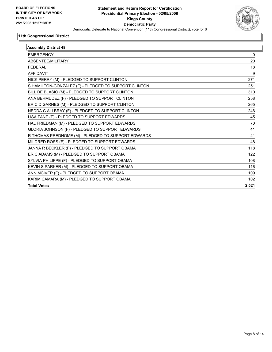

| <b>Assembly District 48</b>                          |       |
|------------------------------------------------------|-------|
| <b>EMERGENCY</b>                                     | 0     |
| <b>ABSENTFF/MILITARY</b>                             | 20    |
| <b>FEDERAL</b>                                       | 18    |
| <b>AFFIDAVIT</b>                                     | 9     |
| NICK PERRY (M) - PLEDGED TO SUPPORT CLINTON          | 271   |
| S HAMILTON-GONZALEZ (F) - PLEDGED TO SUPPORT CLINTON | 251   |
| BILL DE BLASIO (M) - PLEDGED TO SUPPORT CLINTON      | 310   |
| ANA BERMUDEZ (F) - PLEDGED TO SUPPORT CLINTON        | 258   |
| ERIC D GARNES (M) - PLEDGED TO SUPPORT CLINTON       | 265   |
| NEDDA C ALLBRAY (F) - PLEDGED TO SUPPORT CLINTON     | 246   |
| LISA FANE (F) - PLEDGED TO SUPPORT EDWARDS           | 45    |
| HAL FRIEDMAN (M) - PLEDGED TO SUPPORT EDWARDS        | 70    |
| GLORIA JOHNSON (F) - PLEDGED TO SUPPORT EDWARDS      | 41    |
| R THOMAS PREDHOME (M) - PLEDGED TO SUPPORT EDWARDS   | 41    |
| MILDRED ROSS (F) - PLEDGED TO SUPPORT EDWARDS        | 48    |
| JANNA R BECKLER (F) - PLEDGED TO SUPPORT OBAMA       | 118   |
| ERIC ADAMS (M) - PLEDGED TO SUPPORT OBAMA            | 122   |
| SYLVIA PHILIPPE (F) - PLEDGED TO SUPPORT OBAMA       | 108   |
| KEVIN S PARKER (M) - PLEDGED TO SUPPORT OBAMA        | 116   |
| ANN MCIVER (F) - PLEDGED TO SUPPORT OBAMA            | 109   |
| KARIM CAMARA (M) - PLEDGED TO SUPPORT OBAMA          | 102   |
| <b>Total Votes</b>                                   | 2,521 |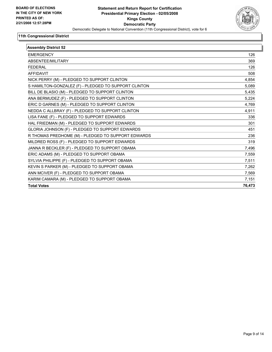

| <b>Assembly District 52</b>                          |        |
|------------------------------------------------------|--------|
| <b>EMERGENCY</b>                                     | 126    |
| ABSENTEE/MILITARY                                    | 369    |
| <b>FEDERAL</b>                                       | 126    |
| <b>AFFIDAVIT</b>                                     | 508    |
| NICK PERRY (M) - PLEDGED TO SUPPORT CLINTON          | 4,854  |
| S HAMILTON-GONZALEZ (F) - PLEDGED TO SUPPORT CLINTON | 5,089  |
| BILL DE BLASIO (M) - PLEDGED TO SUPPORT CLINTON      | 5,435  |
| ANA BERMUDEZ (F) - PLEDGED TO SUPPORT CLINTON        | 5,224  |
| ERIC D GARNES (M) - PLEDGED TO SUPPORT CLINTON       | 4,769  |
| NEDDA C ALLBRAY (F) - PLEDGED TO SUPPORT CLINTON     | 4,911  |
| LISA FANE (F) - PLEDGED TO SUPPORT EDWARDS           | 336    |
| HAL FRIEDMAN (M) - PLEDGED TO SUPPORT EDWARDS        | 301    |
| GLORIA JOHNSON (F) - PLEDGED TO SUPPORT EDWARDS      | 451    |
| R THOMAS PREDHOME (M) - PLEDGED TO SUPPORT EDWARDS   | 236    |
| MILDRED ROSS (F) - PLEDGED TO SUPPORT EDWARDS        | 319    |
| JANNA R BECKLER (F) - PLEDGED TO SUPPORT OBAMA       | 7,496  |
| ERIC ADAMS (M) - PLEDGED TO SUPPORT OBAMA            | 7,559  |
| SYLVIA PHILIPPE (F) - PLEDGED TO SUPPORT OBAMA       | 7,511  |
| KEVIN S PARKER (M) - PLEDGED TO SUPPORT OBAMA        | 7,262  |
| ANN MCIVER (F) - PLEDGED TO SUPPORT OBAMA            | 7,569  |
| KARIM CAMARA (M) - PLEDGED TO SUPPORT OBAMA          | 7,151  |
| <b>Total Votes</b>                                   | 76,473 |
|                                                      |        |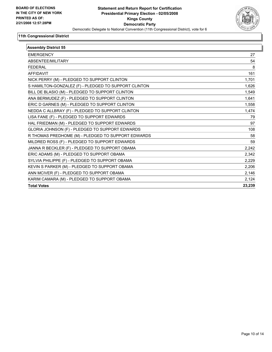

| <b>Assembly District 55</b>                          |        |
|------------------------------------------------------|--------|
| <b>EMERGENCY</b>                                     | 27     |
| ABSENTEE/MILITARY                                    | 54     |
| <b>FEDERAL</b>                                       | 8      |
| <b>AFFIDAVIT</b>                                     | 161    |
| NICK PERRY (M) - PLEDGED TO SUPPORT CLINTON          | 1,701  |
| S HAMILTON-GONZALEZ (F) - PLEDGED TO SUPPORT CLINTON | 1,626  |
| BILL DE BLASIO (M) - PLEDGED TO SUPPORT CLINTON      | 1,549  |
| ANA BERMUDEZ (F) - PLEDGED TO SUPPORT CLINTON        | 1,641  |
| ERIC D GARNES (M) - PLEDGED TO SUPPORT CLINTON       | 1,558  |
| NEDDA C ALLBRAY (F) - PLEDGED TO SUPPORT CLINTON     | 1,474  |
| LISA FANE (F) - PLEDGED TO SUPPORT EDWARDS           | 79     |
| HAL FRIEDMAN (M) - PLEDGED TO SUPPORT EDWARDS        | 97     |
| GLORIA JOHNSON (F) - PLEDGED TO SUPPORT EDWARDS      | 108    |
| R THOMAS PREDHOME (M) - PLEDGED TO SUPPORT EDWARDS   | 58     |
| MILDRED ROSS (F) - PLEDGED TO SUPPORT EDWARDS        | 59     |
| JANNA R BECKLER (F) - PLEDGED TO SUPPORT OBAMA       | 2,242  |
| ERIC ADAMS (M) - PLEDGED TO SUPPORT OBAMA            | 2,342  |
| SYLVIA PHILIPPE (F) - PLEDGED TO SUPPORT OBAMA       | 2,229  |
| KEVIN S PARKER (M) - PLEDGED TO SUPPORT OBAMA        | 2,206  |
| ANN MCIVER (F) - PLEDGED TO SUPPORT OBAMA            | 2,146  |
| KARIM CAMARA (M) - PLEDGED TO SUPPORT OBAMA          | 2,124  |
| <b>Total Votes</b>                                   | 23,239 |
|                                                      |        |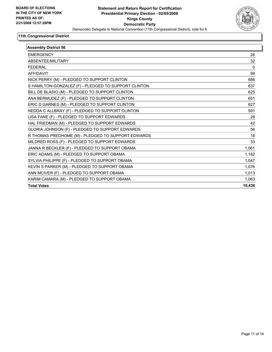

| <b>Assembly District 56</b>                          |        |
|------------------------------------------------------|--------|
| <b>EMERGENCY</b>                                     | 26     |
| ABSENTEE/MILITARY                                    | 32     |
| <b>FEDERAL</b>                                       | 0      |
| <b>AFFIDAVIT</b>                                     | 99     |
| NICK PERRY (M) - PLEDGED TO SUPPORT CLINTON          | 686    |
| S HAMILTON-GONZALEZ (F) - PLEDGED TO SUPPORT CLINTON | 637    |
| BILL DE BLASIO (M) - PLEDGED TO SUPPORT CLINTON      | 625    |
| ANA BERMUDEZ (F) - PLEDGED TO SUPPORT CLINTON        | 651    |
| ERIC D GARNES (M) - PLEDGED TO SUPPORT CLINTON       | 627    |
| NEDDA C ALLBRAY (F) - PLEDGED TO SUPPORT CLINTON     | 591    |
| LISA FANE (F) - PLEDGED TO SUPPORT EDWARDS           | 28     |
| HAL FRIEDMAN (M) - PLEDGED TO SUPPORT EDWARDS        | 42     |
| GLORIA JOHNSON (F) - PLEDGED TO SUPPORT EDWARDS      | 56     |
| R THOMAS PREDHOME (M) - PLEDGED TO SUPPORT EDWARDS   | 18     |
| MILDRED ROSS (F) - PLEDGED TO SUPPORT EDWARDS        | 33     |
| JANNA R BECKLER (F) - PLEDGED TO SUPPORT OBAMA       | 1,061  |
| ERIC ADAMS (M) - PLEDGED TO SUPPORT OBAMA            | 1,182  |
| SYLVIA PHILIPPE (F) - PLEDGED TO SUPPORT OBAMA       | 1.047  |
| KEVIN S PARKER (M) - PLEDGED TO SUPPORT OBAMA        | 1,076  |
| ANN MCIVER (F) - PLEDGED TO SUPPORT OBAMA            | 1,013  |
| KARIM CAMARA (M) - PLEDGED TO SUPPORT OBAMA          | 1,063  |
| <b>Total Votes</b>                                   | 10,436 |
|                                                      |        |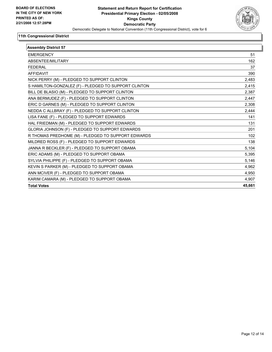

| <b>Assembly District 57</b>                          |        |
|------------------------------------------------------|--------|
| <b>EMERGENCY</b>                                     | 51     |
| ABSENTEE/MILITARY                                    | 162    |
| <b>FEDERAL</b>                                       | 37     |
| <b>AFFIDAVIT</b>                                     | 390    |
| NICK PERRY (M) - PLEDGED TO SUPPORT CLINTON          | 2,483  |
| S HAMILTON-GONZALEZ (F) - PLEDGED TO SUPPORT CLINTON | 2,415  |
| BILL DE BLASIO (M) - PLEDGED TO SUPPORT CLINTON      | 2,387  |
| ANA BERMUDEZ (F) - PLEDGED TO SUPPORT CLINTON        | 2,447  |
| ERIC D GARNES (M) - PLEDGED TO SUPPORT CLINTON       | 2,308  |
| NEDDA C ALLBRAY (F) - PLEDGED TO SUPPORT CLINTON     | 2,444  |
| LISA FANE (F) - PLEDGED TO SUPPORT EDWARDS           | 141    |
| HAL FRIEDMAN (M) - PLEDGED TO SUPPORT EDWARDS        | 131    |
| GLORIA JOHNSON (F) - PLEDGED TO SUPPORT EDWARDS      | 201    |
| R THOMAS PREDHOME (M) - PLEDGED TO SUPPORT EDWARDS   | 102    |
| MILDRED ROSS (F) - PLEDGED TO SUPPORT EDWARDS        | 138    |
| JANNA R BECKLER (F) - PLEDGED TO SUPPORT OBAMA       | 5,104  |
| ERIC ADAMS (M) - PLEDGED TO SUPPORT OBAMA            | 5,395  |
| SYLVIA PHILIPPE (F) - PLEDGED TO SUPPORT OBAMA       | 5,146  |
| KEVIN S PARKER (M) - PLEDGED TO SUPPORT OBAMA        | 4,962  |
| ANN MCIVER (F) - PLEDGED TO SUPPORT OBAMA            | 4,950  |
| KARIM CAMARA (M) - PLEDGED TO SUPPORT OBAMA          | 4,907  |
| <b>Total Votes</b>                                   | 45,661 |
|                                                      |        |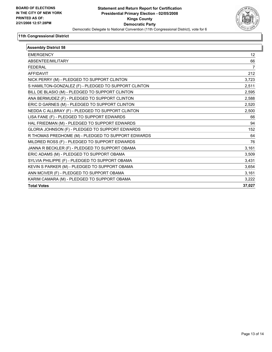

| <b>Assembly District 58</b>                          |        |
|------------------------------------------------------|--------|
| <b>EMERGENCY</b>                                     | 12     |
| ABSENTEE/MILITARY                                    | 66     |
| <b>FEDERAL</b>                                       | 7      |
| <b>AFFIDAVIT</b>                                     | 212    |
| NICK PERRY (M) - PLEDGED TO SUPPORT CLINTON          | 3,723  |
| S HAMILTON-GONZALEZ (F) - PLEDGED TO SUPPORT CLINTON | 2,511  |
| BILL DE BLASIO (M) - PLEDGED TO SUPPORT CLINTON      | 2,595  |
| ANA BERMUDEZ (F) - PLEDGED TO SUPPORT CLINTON        | 2,588  |
| ERIC D GARNES (M) - PLEDGED TO SUPPORT CLINTON       | 2,520  |
| NEDDA C ALLBRAY (F) - PLEDGED TO SUPPORT CLINTON     | 2,500  |
| LISA FANE (F) - PLEDGED TO SUPPORT EDWARDS           | 66     |
| HAL FRIEDMAN (M) - PLEDGED TO SUPPORT EDWARDS        | 94     |
| GLORIA JOHNSON (F) - PLEDGED TO SUPPORT EDWARDS      | 152    |
| R THOMAS PREDHOME (M) - PLEDGED TO SUPPORT EDWARDS   | 64     |
| MILDRED ROSS (F) - PLEDGED TO SUPPORT EDWARDS        | 76     |
| JANNA R BECKLER (F) - PLEDGED TO SUPPORT OBAMA       | 3,161  |
| ERIC ADAMS (M) - PLEDGED TO SUPPORT OBAMA            | 3,509  |
| SYLVIA PHILIPPE (F) - PLEDGED TO SUPPORT OBAMA       | 3,431  |
| KEVIN S PARKER (M) - PLEDGED TO SUPPORT OBAMA        | 3,654  |
| ANN MCIVER (F) - PLEDGED TO SUPPORT OBAMA            | 3,161  |
| KARIM CAMARA (M) - PLEDGED TO SUPPORT OBAMA          | 3,222  |
| <b>Total Votes</b>                                   | 37,027 |